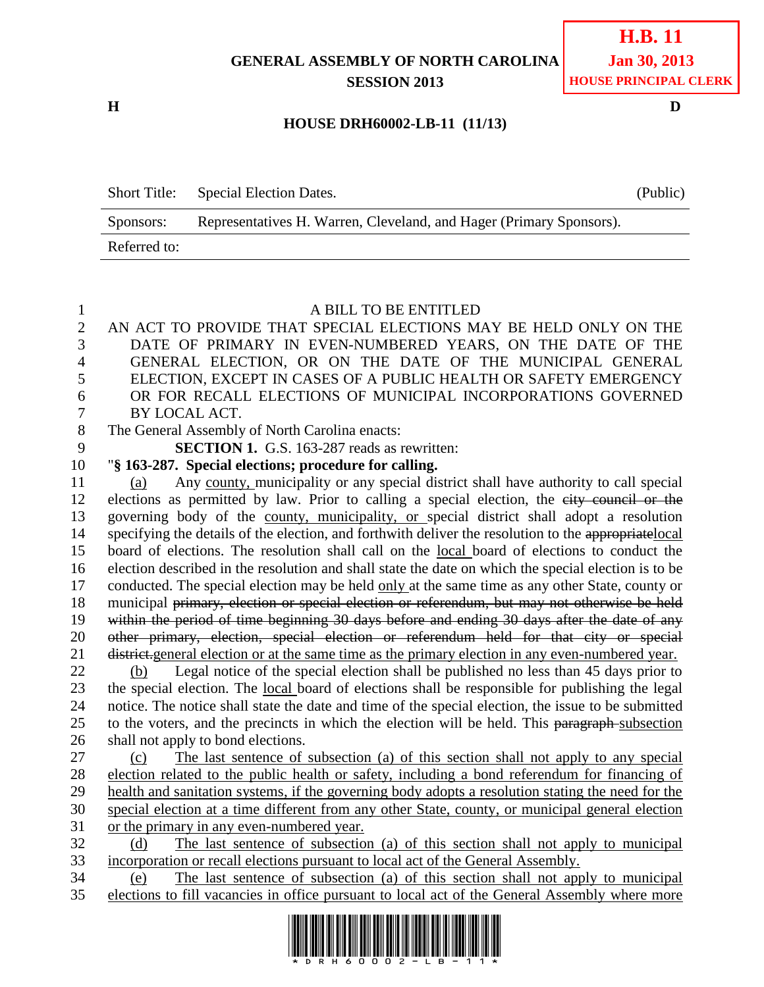# **GENERAL ASSEMBLY OF NORTH CAROLINA SESSION 2013**

**H D**

#### **HOUSE DRH60002-LB-11 (11/13)**

| <b>Short Title:</b> | Special Election Dates.                                             | (Public) |
|---------------------|---------------------------------------------------------------------|----------|
| Sponsors:           | Representatives H. Warren, Cleveland, and Hager (Primary Sponsors). |          |
| Referred to:        |                                                                     |          |

#### A BILL TO BE ENTITLED

 AN ACT TO PROVIDE THAT SPECIAL ELECTIONS MAY BE HELD ONLY ON THE DATE OF PRIMARY IN EVEN-NUMBERED YEARS, ON THE DATE OF THE GENERAL ELECTION, OR ON THE DATE OF THE MUNICIPAL GENERAL ELECTION, EXCEPT IN CASES OF A PUBLIC HEALTH OR SAFETY EMERGENCY OR FOR RECALL ELECTIONS OF MUNICIPAL INCORPORATIONS GOVERNED BY LOCAL ACT. The General Assembly of North Carolina enacts: **SECTION 1.** G.S. 163-287 reads as rewritten: "**§ 163-287. Special elections; procedure for calling.** (a) Any county, municipality or any special district shall have authority to call special elections as permitted by law. Prior to calling a special election, the city council or the governing body of the county, municipality, or special district shall adopt a resolution specifying the details of the election, and forthwith deliver the resolution to the appropriatelocal board of elections. The resolution shall call on the local board of elections to conduct the election described in the resolution and shall state the date on which the special election is to be conducted. The special election may be held only at the same time as any other State, county or 18 municipal primary, election or special election or referendum, but may not otherwise be held within the period of time beginning 30 days before and ending 30 days after the date of any other primary, election, special election or referendum held for that city or special district.general election or at the same time as the primary election in any even-numbered year. 22 (b) Legal notice of the special election shall be published no less than 45 days prior to the special election. The local board of elections shall be responsible for publishing the legal notice. The notice shall state the date and time of the special election, the issue to be submitted 25 to the voters, and the precincts in which the election will be held. This paragraph-subsection shall not apply to bond elections. (c) The last sentence of subsection (a) of this section shall not apply to any special election related to the public health or safety, including a bond referendum for financing of health and sanitation systems, if the governing body adopts a resolution stating the need for the special election at a time different from any other State, county, or municipal general election or the primary in any even-numbered year. (d) The last sentence of subsection (a) of this section shall not apply to municipal incorporation or recall elections pursuant to local act of the General Assembly. (e) The last sentence of subsection (a) of this section shall not apply to municipal elections to fill vacancies in office pursuant to local act of the General Assembly where more

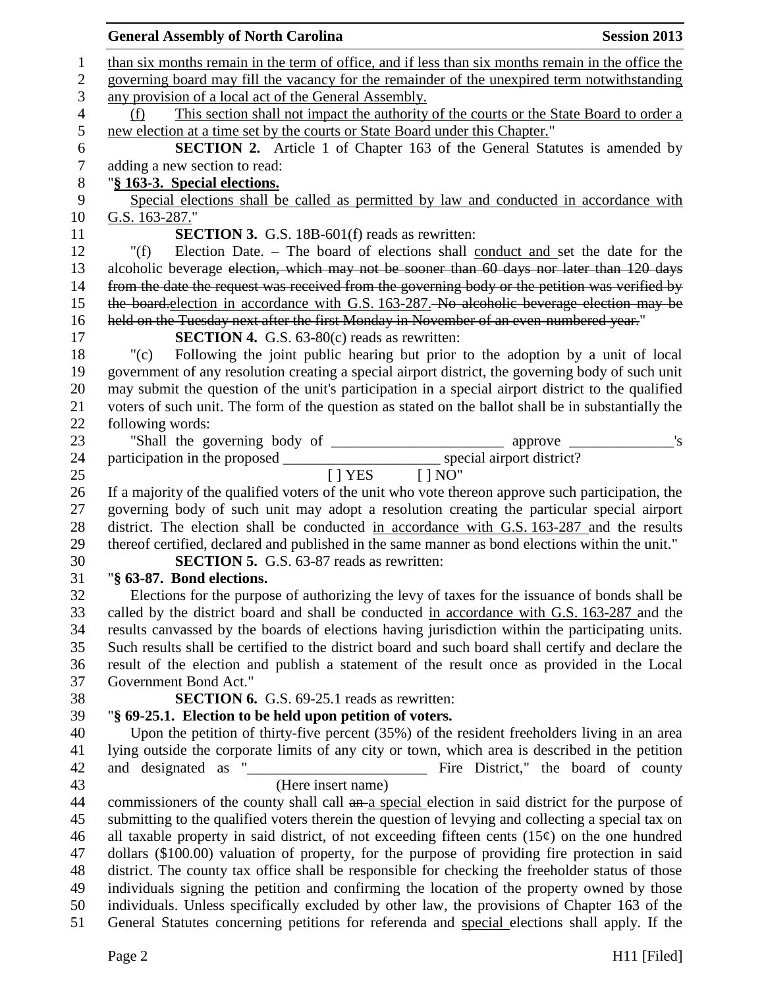|                | <b>General Assembly of North Carolina</b><br><b>Session 2013</b>                                                                                     |
|----------------|------------------------------------------------------------------------------------------------------------------------------------------------------|
| 1              | than six months remain in the term of office, and if less than six months remain in the office the                                                   |
| $\mathbf{2}$   | governing board may fill the vacancy for the remainder of the unexpired term notwithstanding                                                         |
| 3              | any provision of a local act of the General Assembly.                                                                                                |
| $\overline{4}$ | This section shall not impact the authority of the courts or the State Board to order a<br>(f)                                                       |
| 5              | new election at a time set by the courts or State Board under this Chapter."                                                                         |
| 6              | <b>SECTION 2.</b> Article 1 of Chapter 163 of the General Statutes is amended by                                                                     |
| $\tau$         | adding a new section to read:                                                                                                                        |
| $8\phantom{1}$ | "§ 163-3. Special elections.                                                                                                                         |
| 9              | Special elections shall be called as permitted by law and conducted in accordance with                                                               |
| 10             | G.S. 163-287."                                                                                                                                       |
| 11             | <b>SECTION 3.</b> G.S. 18B-601(f) reads as rewritten:                                                                                                |
| 12             | Election Date. - The board of elections shall conduct and set the date for the<br>"(f)                                                               |
| 13             | alcoholic beverage election, which may not be sooner than 60 days nor later than 120 days                                                            |
| 14             | from the date the request was received from the governing body or the petition was verified by                                                       |
| 15             | the board-election in accordance with G.S. 163-287. No alcoholic beverage election may be                                                            |
| 16             | held on the Tuesday next after the first Monday in November of an even-numbered year."                                                               |
| 17             | <b>SECTION 4.</b> G.S. 63-80(c) reads as rewritten:                                                                                                  |
| 18             | Following the joint public hearing but prior to the adoption by a unit of local<br>"(c)                                                              |
| 19             | government of any resolution creating a special airport district, the governing body of such unit                                                    |
| 20             | may submit the question of the unit's participation in a special airport district to the qualified                                                   |
| 21             | voters of such unit. The form of the question as stated on the ballot shall be in substantially the                                                  |
| 22             | following words:                                                                                                                                     |
| 23             |                                                                                                                                                      |
| 24             |                                                                                                                                                      |
| 25             | $[$   YES $[$   NO"                                                                                                                                  |
| 26             | If a majority of the qualified voters of the unit who vote thereon approve such participation, the                                                   |
| 27             | governing body of such unit may adopt a resolution creating the particular special airport                                                           |
| 28             | district. The election shall be conducted in accordance with G.S. 163-287 and the results                                                            |
| 29             | thereof certified, declared and published in the same manner as bond elections within the unit."<br><b>SECTION 5.</b> G.S. 63-87 reads as rewritten: |
| 30<br>31       | "§ 63-87. Bond elections.                                                                                                                            |
| 32             | Elections for the purpose of authorizing the levy of taxes for the issuance of bonds shall be                                                        |
| 33             | called by the district board and shall be conducted in accordance with G.S. 163-287 and the                                                          |
| 34             | results canvassed by the boards of elections having jurisdiction within the participating units.                                                     |
| 35             | Such results shall be certified to the district board and such board shall certify and declare the                                                   |
| 36             | result of the election and publish a statement of the result once as provided in the Local                                                           |
| 37             | Government Bond Act."                                                                                                                                |
| 38             | <b>SECTION 6.</b> G.S. 69-25.1 reads as rewritten:                                                                                                   |
| 39             | "§ 69-25.1. Election to be held upon petition of voters.                                                                                             |
| 40             | Upon the petition of thirty-five percent (35%) of the resident freeholders living in an area                                                         |
| 41             | lying outside the corporate limits of any city or town, which area is described in the petition                                                      |
| 42             | Fire District," the board of county                                                                                                                  |
| 43             | (Here insert name)                                                                                                                                   |
| 44             | commissioners of the county shall call an a special election in said district for the purpose of                                                     |
| 45             | submitting to the qualified voters therein the question of levying and collecting a special tax on                                                   |
| 46             | all taxable property in said district, of not exceeding fifteen cents $(15¢)$ on the one hundred                                                     |
| 47             | dollars (\$100.00) valuation of property, for the purpose of providing fire protection in said                                                       |
| 48             | district. The county tax office shall be responsible for checking the freeholder status of those                                                     |
| 49             | individuals signing the petition and confirming the location of the property owned by those                                                          |
| 50             | individuals. Unless specifically excluded by other law, the provisions of Chapter 163 of the                                                         |
| 51             | General Statutes concerning petitions for referenda and special elections shall apply. If the                                                        |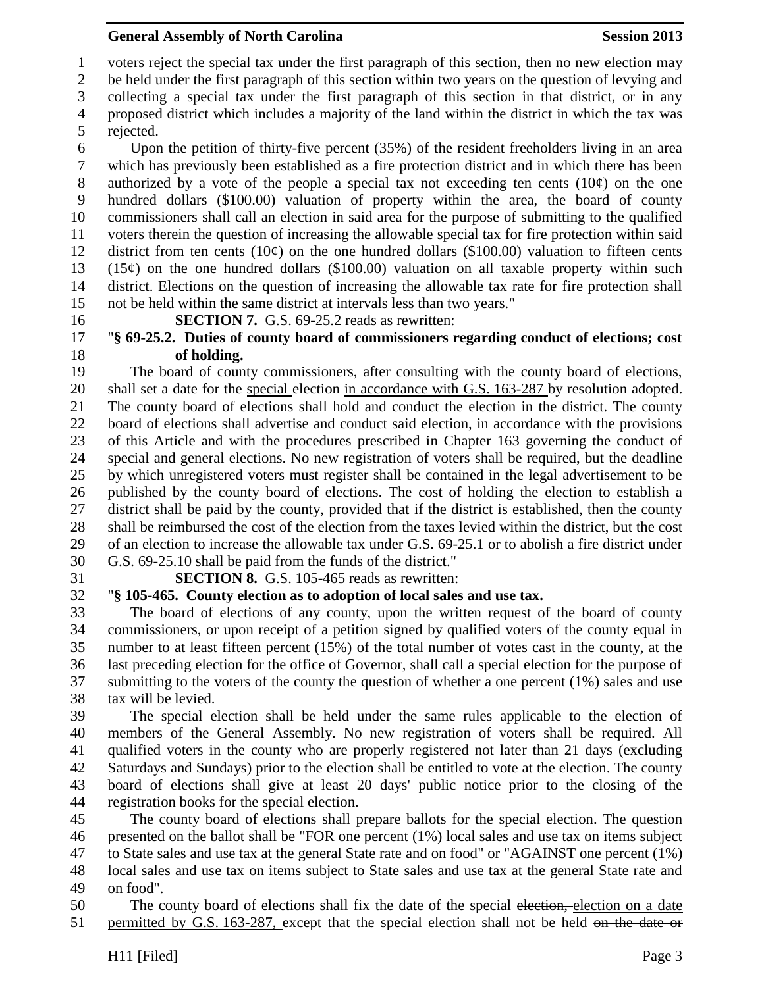voters reject the special tax under the first paragraph of this section, then no new election may

be held under the first paragraph of this section within two years on the question of levying and

collecting a special tax under the first paragraph of this section in that district, or in any

 proposed district which includes a majority of the land within the district in which the tax was rejected.

 Upon the petition of thirty-five percent (35%) of the resident freeholders living in an area which has previously been established as a fire protection district and in which there has been 8 authorized by a vote of the people a special tax not exceeding ten cents  $(10¢)$  on the one hundred dollars (\$100.00) valuation of property within the area, the board of county commissioners shall call an election in said area for the purpose of submitting to the qualified voters therein the question of increasing the allowable special tax for fire protection within said 12 district from ten cents  $(10¢)$  on the one hundred dollars (\$100.00) valuation to fifteen cents 13 (15 $\phi$ ) on the one hundred dollars (\$100.00) valuation on all taxable property within such district. Elections on the question of increasing the allowable tax rate for fire protection shall not be held within the same district at intervals less than two years."

**SECTION 7.** G.S. 69-25.2 reads as rewritten:

# "**§ 69-25.2. Duties of county board of commissioners regarding conduct of elections; cost of holding.**

 The board of county commissioners, after consulting with the county board of elections, shall set a date for the special election in accordance with G.S. 163-287 by resolution adopted. The county board of elections shall hold and conduct the election in the district. The county board of elections shall advertise and conduct said election, in accordance with the provisions of this Article and with the procedures prescribed in Chapter 163 governing the conduct of special and general elections. No new registration of voters shall be required, but the deadline by which unregistered voters must register shall be contained in the legal advertisement to be published by the county board of elections. The cost of holding the election to establish a district shall be paid by the county, provided that if the district is established, then the county shall be reimbursed the cost of the election from the taxes levied within the district, but the cost of an election to increase the allowable tax under G.S. 69-25.1 or to abolish a fire district under G.S. 69-25.10 shall be paid from the funds of the district."

# **SECTION 8.** G.S. 105-465 reads as rewritten:

# "**§ 105-465. County election as to adoption of local sales and use tax.**

 The board of elections of any county, upon the written request of the board of county commissioners, or upon receipt of a petition signed by qualified voters of the county equal in number to at least fifteen percent (15%) of the total number of votes cast in the county, at the last preceding election for the office of Governor, shall call a special election for the purpose of submitting to the voters of the county the question of whether a one percent (1%) sales and use tax will be levied.

 The special election shall be held under the same rules applicable to the election of members of the General Assembly. No new registration of voters shall be required. All qualified voters in the county who are properly registered not later than 21 days (excluding Saturdays and Sundays) prior to the election shall be entitled to vote at the election. The county board of elections shall give at least 20 days' public notice prior to the closing of the registration books for the special election.

 The county board of elections shall prepare ballots for the special election. The question presented on the ballot shall be "FOR one percent (1%) local sales and use tax on items subject to State sales and use tax at the general State rate and on food" or "AGAINST one percent (1%) local sales and use tax on items subject to State sales and use tax at the general State rate and on food".

50 The county board of elections shall fix the date of the special election, election on a date 51 permitted by G.S. 163-287, except that the special election shall not be held on the date or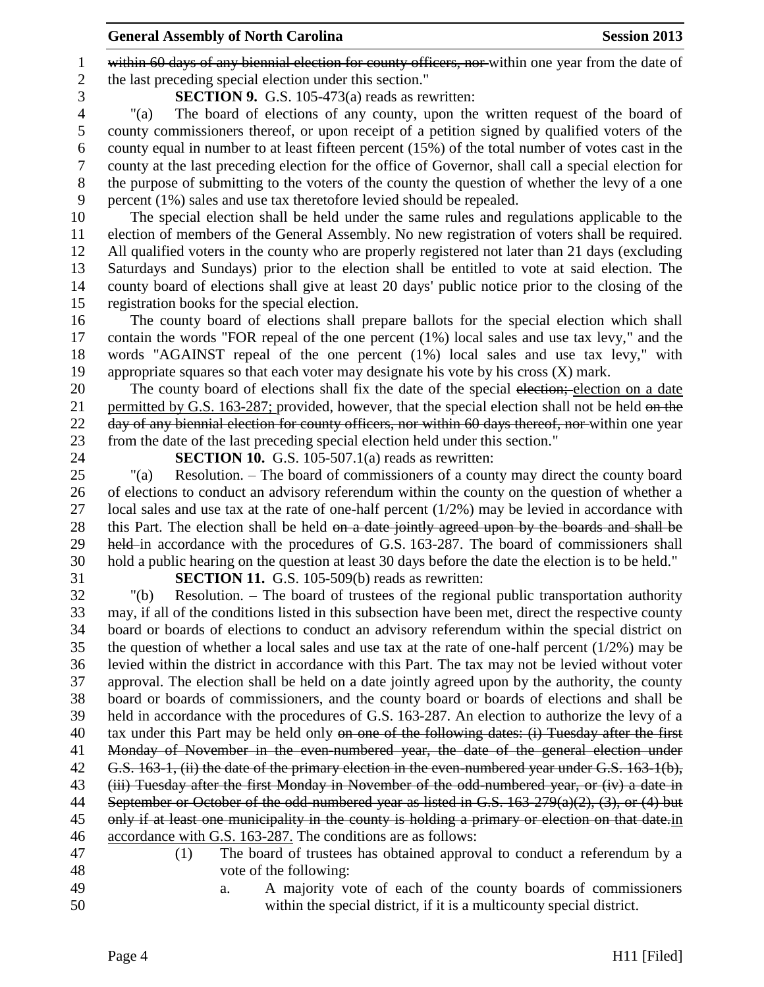1 within 60 days of any biennial election for county officers, nor within one year from the date of the last preceding special election under this section."

**SECTION 9.** G.S. 105-473(a) reads as rewritten:

 "(a) The board of elections of any county, upon the written request of the board of county commissioners thereof, or upon receipt of a petition signed by qualified voters of the county equal in number to at least fifteen percent (15%) of the total number of votes cast in the county at the last preceding election for the office of Governor, shall call a special election for the purpose of submitting to the voters of the county the question of whether the levy of a one percent (1%) sales and use tax theretofore levied should be repealed.

 The special election shall be held under the same rules and regulations applicable to the election of members of the General Assembly. No new registration of voters shall be required. All qualified voters in the county who are properly registered not later than 21 days (excluding Saturdays and Sundays) prior to the election shall be entitled to vote at said election. The county board of elections shall give at least 20 days' public notice prior to the closing of the registration books for the special election.

 The county board of elections shall prepare ballots for the special election which shall contain the words "FOR repeal of the one percent (1%) local sales and use tax levy," and the words "AGAINST repeal of the one percent (1%) local sales and use tax levy," with appropriate squares so that each voter may designate his vote by his cross (X) mark.

20 The county board of elections shall fix the date of the special election; election on a date 21 permitted by G.S. 163-287; provided, however, that the special election shall not be held on the 22 day of any biennial election for county officers, nor within 60 days thereof, nor within one year from the date of the last preceding special election held under this section."

**SECTION 10.** G.S. 105-507.1(a) reads as rewritten:

 "(a) Resolution. – The board of commissioners of a county may direct the county board of elections to conduct an advisory referendum within the county on the question of whether a 27 local sales and use tax at the rate of one-half percent  $(1/2%)$  may be levied in accordance with 28 this Part. The election shall be held on a date jointly agreed upon by the boards and shall be 29 held in accordance with the procedures of G.S. 163-287. The board of commissioners shall hold a public hearing on the question at least 30 days before the date the election is to be held."

**SECTION 11.** G.S. 105-509(b) reads as rewritten:

 "(b) Resolution. – The board of trustees of the regional public transportation authority may, if all of the conditions listed in this subsection have been met, direct the respective county board or boards of elections to conduct an advisory referendum within the special district on the question of whether a local sales and use tax at the rate of one-half percent (1/2%) may be levied within the district in accordance with this Part. The tax may not be levied without voter approval. The election shall be held on a date jointly agreed upon by the authority, the county board or boards of commissioners, and the county board or boards of elections and shall be held in accordance with the procedures of G.S. 163-287. An election to authorize the levy of a 40 tax under this Part may be held only on one of the following dates: (i) Tuesday after the first Monday of November in the even-numbered year, the date of the general election under 42 G.S. 163-1, (ii) the date of the primary election in the even-numbered year under G.S. 163-1(b), (iii) Tuesday after the first Monday in November of the odd-numbered year, or (iv) a date in September or October of the odd-numbered year as listed in G.S. 163-279(a)(2), (3), or (4) but 45 only if at least one municipality in the county is holding a primary or election on that date.in accordance with G.S. 163-287. The conditions are as follows:

 (1) The board of trustees has obtained approval to conduct a referendum by a vote of the following:

 a. A majority vote of each of the county boards of commissioners within the special district, if it is a multicounty special district.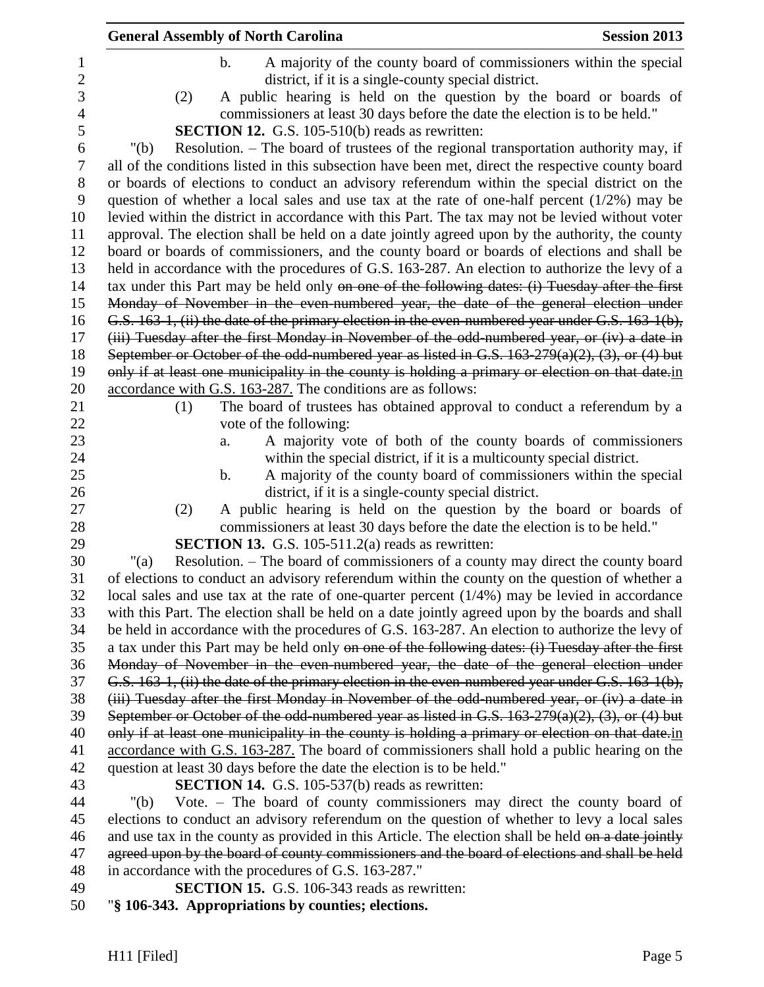| <b>General Assembly of North Carolina</b>                                                                                                                                                                  | <b>Session 2013</b> |
|------------------------------------------------------------------------------------------------------------------------------------------------------------------------------------------------------------|---------------------|
| A majority of the county board of commissioners within the special<br>$\mathbf b$ .                                                                                                                        |                     |
| district, if it is a single-county special district.                                                                                                                                                       |                     |
| A public hearing is held on the question by the board or boards of<br>(2)                                                                                                                                  |                     |
| commissioners at least 30 days before the date the election is to be held."                                                                                                                                |                     |
| <b>SECTION 12.</b> G.S. 105-510(b) reads as rewritten:                                                                                                                                                     |                     |
| Resolution. – The board of trustees of the regional transportation authority may, if<br>" $(b)$                                                                                                            |                     |
| all of the conditions listed in this subsection have been met, direct the respective county board                                                                                                          |                     |
| or boards of elections to conduct an advisory referendum within the special district on the                                                                                                                |                     |
| question of whether a local sales and use tax at the rate of one-half percent $(1/2%)$ may be                                                                                                              |                     |
| levied within the district in accordance with this Part. The tax may not be levied without voter                                                                                                           |                     |
| approval. The election shall be held on a date jointly agreed upon by the authority, the county                                                                                                            |                     |
| board or boards of commissioners, and the county board or boards of elections and shall be                                                                                                                 |                     |
| held in accordance with the procedures of G.S. 163-287. An election to authorize the levy of a                                                                                                             |                     |
| tax under this Part may be held only on one of the following dates: (i) Tuesday after the first                                                                                                            |                     |
| Monday of November in the even numbered year, the date of the general election under                                                                                                                       |                     |
| G.S. 163-1, (ii) the date of the primary election in the even-numbered year under G.S. 163-1(b),                                                                                                           |                     |
| (iii) Tuesday after the first Monday in November of the odd-numbered year, or (iv) a date in                                                                                                               |                     |
| September or October of the odd-numbered year as listed in G.S. $163-279(a)(2)$ , $(3)$ , or $(4)$ but                                                                                                     |                     |
| only if at least one municipality in the county is holding a primary or election on that date in                                                                                                           |                     |
| accordance with G.S. 163-287. The conditions are as follows:                                                                                                                                               |                     |
| The board of trustees has obtained approval to conduct a referendum by a<br>(1)                                                                                                                            |                     |
| vote of the following:                                                                                                                                                                                     |                     |
| A majority vote of both of the county boards of commissioners<br>a.                                                                                                                                        |                     |
| within the special district, if it is a multicounty special district.                                                                                                                                      |                     |
| A majority of the county board of commissioners within the special<br>$\mathbf b$ .                                                                                                                        |                     |
| district, if it is a single-county special district.                                                                                                                                                       |                     |
| A public hearing is held on the question by the board or boards of<br>(2)                                                                                                                                  |                     |
| commissioners at least 30 days before the date the election is to be held."                                                                                                                                |                     |
| <b>SECTION 13.</b> G.S. 105-511.2(a) reads as rewritten:                                                                                                                                                   |                     |
| Resolution. – The board of commissioners of a county may direct the county board<br>" $(a)$                                                                                                                |                     |
| of elections to conduct an advisory referendum within the county on the question of whether a                                                                                                              |                     |
| local sales and use tax at the rate of one-quarter percent $(1/4%)$ may be levied in accordance                                                                                                            |                     |
| with this Part. The election shall be held on a date jointly agreed upon by the boards and shall                                                                                                           |                     |
| be held in accordance with the procedures of G.S. 163-287. An election to authorize the levy of                                                                                                            |                     |
| a tax under this Part may be held only on one of the following dates: (i) Tuesday after the first                                                                                                          |                     |
| Monday of November in the even-numbered year, the date of the general election under                                                                                                                       |                     |
| G.S. 163-1, (ii) the date of the primary election in the even-numbered year under G.S. 163-1(b),                                                                                                           |                     |
| (iii) Tuesday after the first Monday in November of the odd-numbered year, or (iv) a date in                                                                                                               |                     |
| September or October of the odd-numbered year as listed in G.S. $163-279(a)(2)$ , $(3)$ , or $(4)$ but<br>only if at least one municipality in the county is holding a primary or election on that date in |                     |
| accordance with G.S. 163-287. The board of commissioners shall hold a public hearing on the                                                                                                                |                     |
| question at least 30 days before the date the election is to be held."                                                                                                                                     |                     |
| <b>SECTION 14.</b> G.S. 105-537(b) reads as rewritten:                                                                                                                                                     |                     |
| Vote. – The board of county commissioners may direct the county board of<br>" $(b)$                                                                                                                        |                     |
| elections to conduct an advisory referendum on the question of whether to levy a local sales                                                                                                               |                     |
| and use tax in the county as provided in this Article. The election shall be held on a date jointly                                                                                                        |                     |
| agreed upon by the board of county commissioners and the board of elections and shall be held                                                                                                              |                     |
| in accordance with the procedures of G.S. 163-287."                                                                                                                                                        |                     |
| <b>SECTION 15.</b> G.S. 106-343 reads as rewritten:                                                                                                                                                        |                     |
|                                                                                                                                                                                                            |                     |

"**§ 106-343. Appropriations by counties; elections.**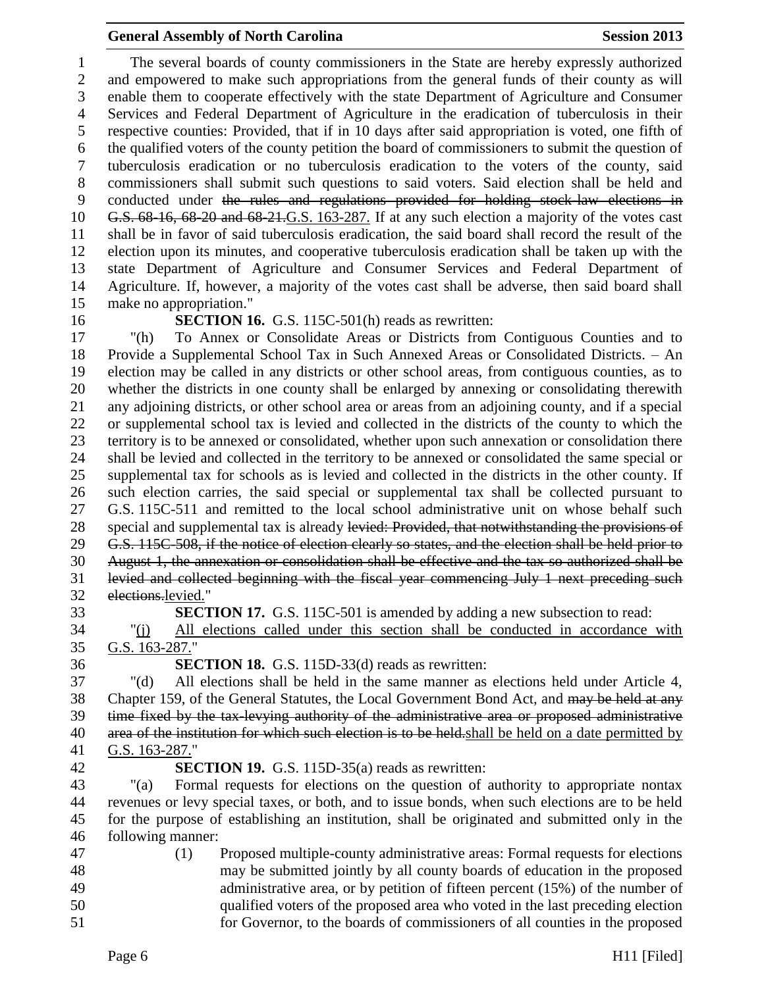The several boards of county commissioners in the State are hereby expressly authorized and empowered to make such appropriations from the general funds of their county as will enable them to cooperate effectively with the state Department of Agriculture and Consumer Services and Federal Department of Agriculture in the eradication of tuberculosis in their respective counties: Provided, that if in 10 days after said appropriation is voted, one fifth of the qualified voters of the county petition the board of commissioners to submit the question of tuberculosis eradication or no tuberculosis eradication to the voters of the county, said commissioners shall submit such questions to said voters. Said election shall be held and conducted under the rules and regulations provided for holding stock-law elections in G.S. 68-16, 68-20 and 68-21.G.S. 163-287. If at any such election a majority of the votes cast shall be in favor of said tuberculosis eradication, the said board shall record the result of the election upon its minutes, and cooperative tuberculosis eradication shall be taken up with the state Department of Agriculture and Consumer Services and Federal Department of Agriculture. If, however, a majority of the votes cast shall be adverse, then said board shall make no appropriation."

#### **SECTION 16.** G.S. 115C-501(h) reads as rewritten:

 "(h) To Annex or Consolidate Areas or Districts from Contiguous Counties and to Provide a Supplemental School Tax in Such Annexed Areas or Consolidated Districts. – An election may be called in any districts or other school areas, from contiguous counties, as to whether the districts in one county shall be enlarged by annexing or consolidating therewith any adjoining districts, or other school area or areas from an adjoining county, and if a special or supplemental school tax is levied and collected in the districts of the county to which the territory is to be annexed or consolidated, whether upon such annexation or consolidation there shall be levied and collected in the territory to be annexed or consolidated the same special or supplemental tax for schools as is levied and collected in the districts in the other county. If such election carries, the said special or supplemental tax shall be collected pursuant to G.S. 115C-511 and remitted to the local school administrative unit on whose behalf such 28 special and supplemental tax is already levied: Provided, that notwithstanding the provisions of G.S. 115C-508, if the notice of election clearly so states, and the election shall be held prior to August 1, the annexation or consolidation shall be effective and the tax so authorized shall be levied and collected beginning with the fiscal year commencing July 1 next preceding such elections.levied."

**SECTION 17.** G.S. 115C-501 is amended by adding a new subsection to read:

 "(j) All elections called under this section shall be conducted in accordance with G.S. 163-287."

**SECTION 18.** G.S. 115D-33(d) reads as rewritten:

 "(d) All elections shall be held in the same manner as elections held under Article 4, 38 Chapter 159, of the General Statutes, the Local Government Bond Act, and may be held at any time fixed by the tax-levying authority of the administrative area or proposed administrative 40 area of the institution for which such election is to be held. shall be held on a date permitted by G.S. 163-287."

#### **SECTION 19.** G.S. 115D-35(a) reads as rewritten:

 "(a) Formal requests for elections on the question of authority to appropriate nontax revenues or levy special taxes, or both, and to issue bonds, when such elections are to be held for the purpose of establishing an institution, shall be originated and submitted only in the following manner:

 (1) Proposed multiple-county administrative areas: Formal requests for elections may be submitted jointly by all county boards of education in the proposed administrative area, or by petition of fifteen percent (15%) of the number of qualified voters of the proposed area who voted in the last preceding election for Governor, to the boards of commissioners of all counties in the proposed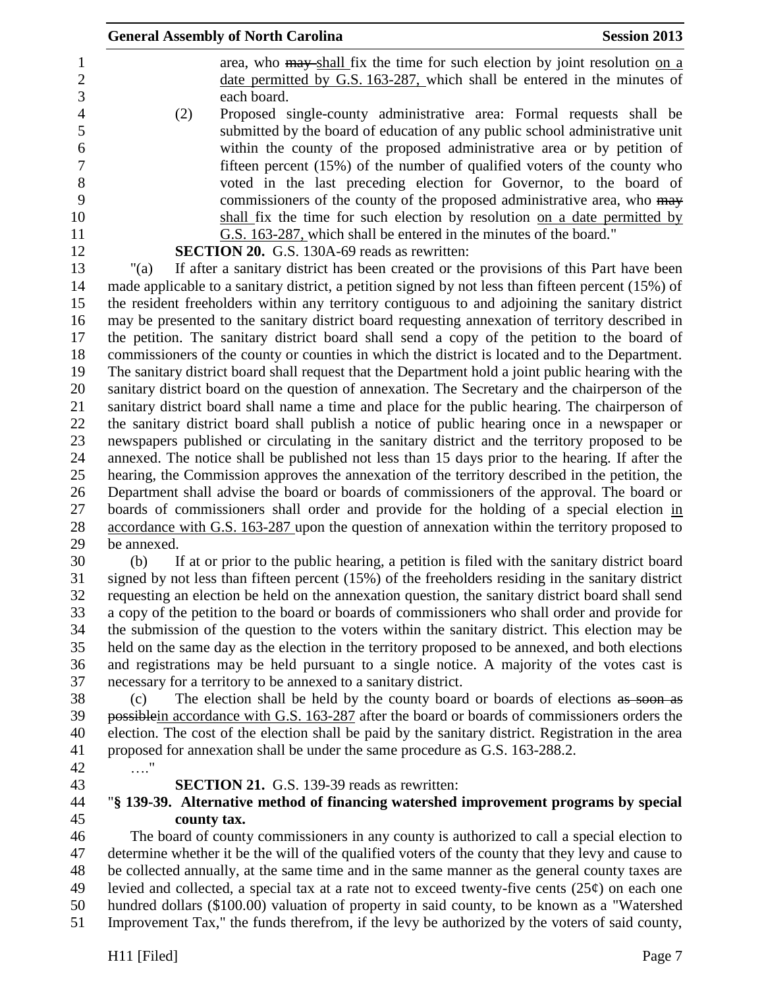|                     |             | <b>General Assembly of North Carolina</b>                                    | <b>Session 2013</b>                                                                                                                                                                                   |
|---------------------|-------------|------------------------------------------------------------------------------|-------------------------------------------------------------------------------------------------------------------------------------------------------------------------------------------------------|
|                     |             |                                                                              | area, who may shall fix the time for such election by joint resolution on a                                                                                                                           |
| $\overline{2}$<br>3 |             |                                                                              | date permitted by G.S. 163-287, which shall be entered in the minutes of                                                                                                                              |
|                     |             | each board.                                                                  |                                                                                                                                                                                                       |
|                     | (2)         |                                                                              | Proposed single-county administrative area: Formal requests shall be                                                                                                                                  |
|                     |             |                                                                              | submitted by the board of education of any public school administrative unit                                                                                                                          |
|                     |             |                                                                              | within the county of the proposed administrative area or by petition of                                                                                                                               |
|                     |             |                                                                              | fifteen percent $(15\%)$ of the number of qualified voters of the county who                                                                                                                          |
|                     |             |                                                                              | voted in the last preceding election for Governor, to the board of                                                                                                                                    |
|                     |             |                                                                              | commissioners of the county of the proposed administrative area, who may                                                                                                                              |
|                     |             |                                                                              | shall fix the time for such election by resolution on a date permitted by                                                                                                                             |
|                     |             | G.S. 163-287, which shall be entered in the minutes of the board."           |                                                                                                                                                                                                       |
|                     |             | <b>SECTION 20.</b> G.S. 130A-69 reads as rewritten:                          |                                                                                                                                                                                                       |
|                     | " $(a)$     |                                                                              | If after a sanitary district has been created or the provisions of this Part have been                                                                                                                |
|                     |             |                                                                              | made applicable to a sanitary district, a petition signed by not less than fifteen percent (15%) of                                                                                                   |
|                     |             |                                                                              | the resident freeholders within any territory contiguous to and adjoining the sanitary district                                                                                                       |
|                     |             |                                                                              | may be presented to the sanitary district board requesting annexation of territory described in                                                                                                       |
|                     |             |                                                                              | the petition. The sanitary district board shall send a copy of the petition to the board of                                                                                                           |
|                     |             |                                                                              | commissioners of the county or counties in which the district is located and to the Department.                                                                                                       |
|                     |             |                                                                              | The sanitary district board shall request that the Department hold a joint public hearing with the<br>sanitary district board on the question of annexation. The Secretary and the chairperson of the |
|                     |             |                                                                              | sanitary district board shall name a time and place for the public hearing. The chairperson of                                                                                                        |
|                     |             |                                                                              | the sanitary district board shall publish a notice of public hearing once in a newspaper or                                                                                                           |
|                     |             |                                                                              | newspapers published or circulating in the sanitary district and the territory proposed to be                                                                                                         |
|                     |             |                                                                              | annexed. The notice shall be published not less than 15 days prior to the hearing. If after the                                                                                                       |
|                     |             |                                                                              | hearing, the Commission approves the annexation of the territory described in the petition, the                                                                                                       |
|                     |             |                                                                              | Department shall advise the board or boards of commissioners of the approval. The board or                                                                                                            |
|                     |             |                                                                              | boards of commissioners shall order and provide for the holding of a special election in                                                                                                              |
|                     |             |                                                                              | accordance with G.S. 163-287 upon the question of annexation within the territory proposed to                                                                                                         |
|                     | be annexed. |                                                                              |                                                                                                                                                                                                       |
|                     | (b)         |                                                                              | If at or prior to the public hearing, a petition is filed with the sanitary district board                                                                                                            |
|                     |             |                                                                              | signed by not less than fifteen percent (15%) of the freeholders residing in the sanitary district                                                                                                    |
|                     |             |                                                                              | requesting an election be held on the annexation question, the sanitary district board shall send                                                                                                     |
|                     |             |                                                                              | a copy of the petition to the board or boards of commissioners who shall order and provide for                                                                                                        |
|                     |             |                                                                              | the submission of the question to the voters within the sanitary district. This election may be                                                                                                       |
|                     |             |                                                                              | held on the same day as the election in the territory proposed to be annexed, and both elections                                                                                                      |
|                     |             |                                                                              | and registrations may be held pursuant to a single notice. A majority of the votes cast is                                                                                                            |
|                     |             | necessary for a territory to be annexed to a sanitary district.              |                                                                                                                                                                                                       |
|                     | (c)         |                                                                              | The election shall be held by the county board or boards of elections as soon as                                                                                                                      |
|                     |             |                                                                              | possible in accordance with G.S. 163-287 after the board or boards of commissioners orders the                                                                                                        |
|                     |             |                                                                              | election. The cost of the election shall be paid by the sanitary district. Registration in the area                                                                                                   |
|                     |             | proposed for annexation shall be under the same procedure as G.S. 163-288.2. |                                                                                                                                                                                                       |
|                     | $\ldots$ "  |                                                                              |                                                                                                                                                                                                       |
|                     |             | SECTION 21. G.S. 139-39 reads as rewritten:                                  |                                                                                                                                                                                                       |
|                     |             |                                                                              | "§ 139-39. Alternative method of financing watershed improvement programs by special                                                                                                                  |
|                     | county tax. |                                                                              |                                                                                                                                                                                                       |
|                     |             |                                                                              | The board of county commissioners in any county is authorized to call a special election to<br>determine whether it be the will of the qualified voters of the county that they levy and cause to     |
|                     |             |                                                                              | be collected annually, at the same time and in the same manner as the general county taxes are                                                                                                        |
|                     |             |                                                                              | levied and collected, a special tax at a rate not to exceed twenty-five cents $(25¢)$ on each one                                                                                                     |
|                     |             |                                                                              | hundred dollars (\$100.00) valuation of property in said county, to be known as a "Watershed                                                                                                          |
|                     |             |                                                                              | Improvement Tax," the funds therefrom, if the levy be authorized by the voters of said county,                                                                                                        |
|                     |             |                                                                              |                                                                                                                                                                                                       |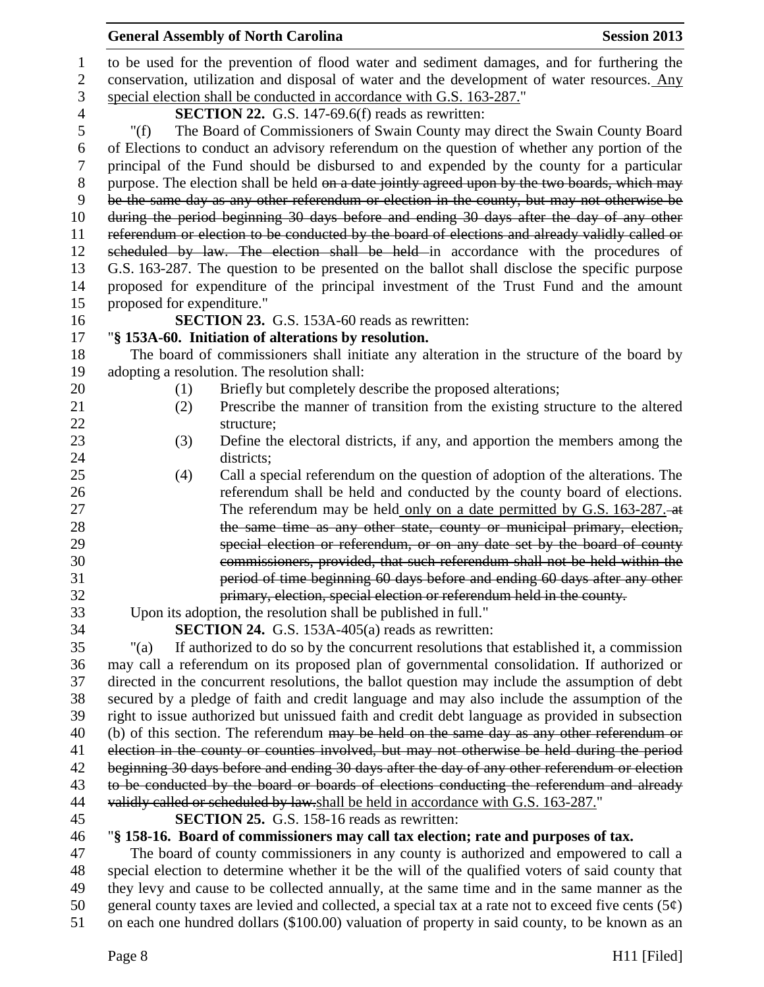|                | <b>General Assembly of North Carolina</b><br><b>Session 2013</b>                                                                                          |  |  |  |  |
|----------------|-----------------------------------------------------------------------------------------------------------------------------------------------------------|--|--|--|--|
| $\mathbf{1}$   | to be used for the prevention of flood water and sediment damages, and for furthering the                                                                 |  |  |  |  |
| $\mathbf{2}$   | conservation, utilization and disposal of water and the development of water resources. Any                                                               |  |  |  |  |
| 3              | special election shall be conducted in accordance with G.S. 163-287."                                                                                     |  |  |  |  |
| $\overline{4}$ | <b>SECTION 22.</b> G.S. 147-69.6(f) reads as rewritten:                                                                                                   |  |  |  |  |
| 5              | The Board of Commissioners of Swain County may direct the Swain County Board<br>" $(f)$                                                                   |  |  |  |  |
| 6              | of Elections to conduct an advisory referendum on the question of whether any portion of the                                                              |  |  |  |  |
| 7              | principal of the Fund should be disbursed to and expended by the county for a particular                                                                  |  |  |  |  |
| $8\phantom{1}$ | purpose. The election shall be held on a date jointly agreed upon by the two boards, which may                                                            |  |  |  |  |
| 9              | be the same day as any other referendum or election in the county, but may not otherwise be                                                               |  |  |  |  |
| 10             | during the period beginning 30 days before and ending 30 days after the day of any other                                                                  |  |  |  |  |
| 11             | referendum or election to be conducted by the board of elections and already validly called or                                                            |  |  |  |  |
| 12             | scheduled by law. The election shall be held in accordance with the procedures of                                                                         |  |  |  |  |
| 13             | G.S. 163-287. The question to be presented on the ballot shall disclose the specific purpose                                                              |  |  |  |  |
| 14             | proposed for expenditure of the principal investment of the Trust Fund and the amount                                                                     |  |  |  |  |
| 15             | proposed for expenditure."                                                                                                                                |  |  |  |  |
| 16             | SECTION 23. G.S. 153A-60 reads as rewritten:                                                                                                              |  |  |  |  |
| 17             | "§ 153A-60. Initiation of alterations by resolution.                                                                                                      |  |  |  |  |
| 18             | The board of commissioners shall initiate any alteration in the structure of the board by                                                                 |  |  |  |  |
| 19             | adopting a resolution. The resolution shall:                                                                                                              |  |  |  |  |
| 20             | Briefly but completely describe the proposed alterations;<br>(1)                                                                                          |  |  |  |  |
| 21             | Prescribe the manner of transition from the existing structure to the altered<br>(2)                                                                      |  |  |  |  |
| 22             | structure;                                                                                                                                                |  |  |  |  |
| 23             | Define the electoral districts, if any, and apportion the members among the<br>(3)                                                                        |  |  |  |  |
| 24             | districts;                                                                                                                                                |  |  |  |  |
| 25             | Call a special referendum on the question of adoption of the alterations. The<br>(4)                                                                      |  |  |  |  |
| 26             | referendum shall be held and conducted by the county board of elections.                                                                                  |  |  |  |  |
| 27             | The referendum may be held only on a date permitted by G.S. 163-287. at                                                                                   |  |  |  |  |
| 28             | the same time as any other state, county or municipal primary, election,                                                                                  |  |  |  |  |
| 29             | special election or referendum, or on any date set by the board of county                                                                                 |  |  |  |  |
| 30             | commissioners, provided, that such referendum shall not be held within the                                                                                |  |  |  |  |
| 31             | period of time beginning 60 days before and ending 60 days after any other                                                                                |  |  |  |  |
| 32             | primary, election, special election or referendum held in the county.                                                                                     |  |  |  |  |
| 33             | Upon its adoption, the resolution shall be published in full."                                                                                            |  |  |  |  |
| 34<br>35       | <b>SECTION 24.</b> G.S. 153A-405(a) reads as rewritten:<br>If authorized to do so by the concurrent resolutions that established it, a commission<br>"(a) |  |  |  |  |
| 36             | may call a referendum on its proposed plan of governmental consolidation. If authorized or                                                                |  |  |  |  |
| 37             | directed in the concurrent resolutions, the ballot question may include the assumption of debt                                                            |  |  |  |  |
| 38             | secured by a pledge of faith and credit language and may also include the assumption of the                                                               |  |  |  |  |
| 39             | right to issue authorized but unissued faith and credit debt language as provided in subsection                                                           |  |  |  |  |
| 40             | (b) of this section. The referendum may be held on the same day as any other referendum or                                                                |  |  |  |  |
| 41             | election in the county or counties involved, but may not otherwise be held during the period                                                              |  |  |  |  |
| 42             | beginning 30 days before and ending 30 days after the day of any other referendum or election                                                             |  |  |  |  |
| 43             | to be conducted by the board or boards of elections conducting the referendum and already                                                                 |  |  |  |  |
| 44             | validly called or scheduled by law.shall be held in accordance with G.S. 163-287."                                                                        |  |  |  |  |
| 45             | <b>SECTION 25.</b> G.S. 158-16 reads as rewritten:                                                                                                        |  |  |  |  |
| 46             | "§ 158-16. Board of commissioners may call tax election; rate and purposes of tax.                                                                        |  |  |  |  |
| 47             | The board of county commissioners in any county is authorized and empowered to call a                                                                     |  |  |  |  |
| 48             | special election to determine whether it be the will of the qualified voters of said county that                                                          |  |  |  |  |
| 49             | they levy and cause to be collected annually, at the same time and in the same manner as the                                                              |  |  |  |  |
| 50             | general county taxes are levied and collected a special tax at a rate not to exceed five cents $(5\phi)$                                                  |  |  |  |  |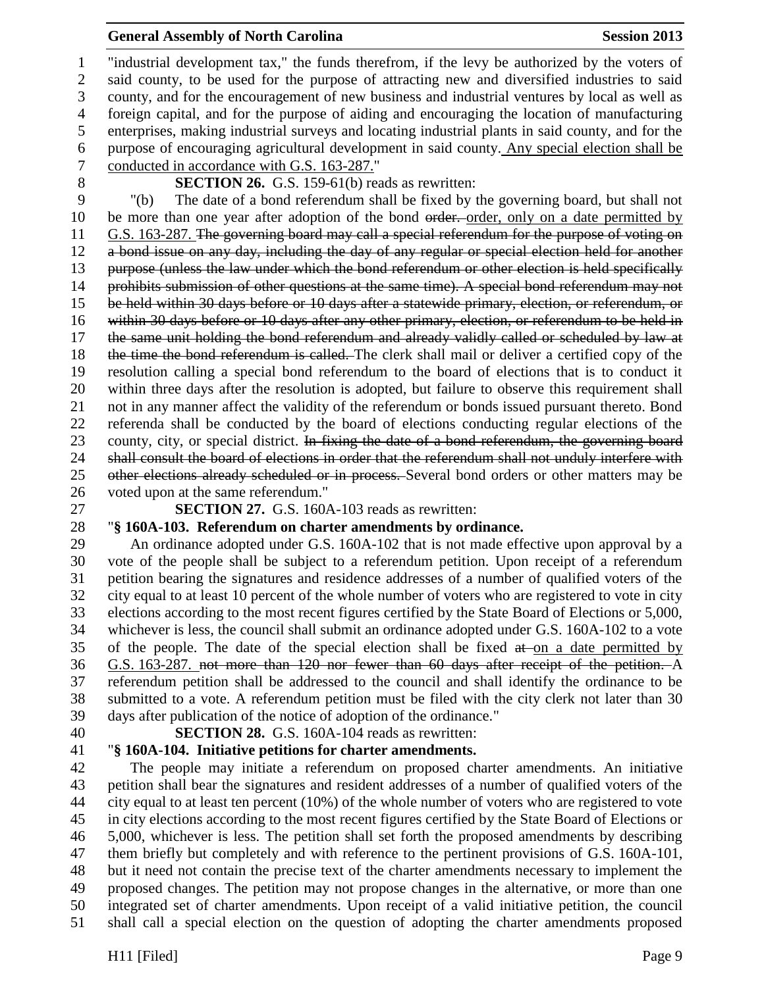"industrial development tax," the funds therefrom, if the levy be authorized by the voters of said county, to be used for the purpose of attracting new and diversified industries to said county, and for the encouragement of new business and industrial ventures by local as well as foreign capital, and for the purpose of aiding and encouraging the location of manufacturing enterprises, making industrial surveys and locating industrial plants in said county, and for the purpose of encouraging agricultural development in said county. Any special election shall be conducted in accordance with G.S. 163-287."

**SECTION 26.** G.S. 159-61(b) reads as rewritten:

 "(b) The date of a bond referendum shall be fixed by the governing board, but shall not 10 be more than one year after adoption of the bond order. order, only on a date permitted by G.S. 163-287. The governing board may call a special referendum for the purpose of voting on a bond issue on any day, including the day of any regular or special election held for another purpose (unless the law under which the bond referendum or other election is held specifically 14 prohibits submission of other questions at the same time). A special bond referendum may not be held within 30 days before or 10 days after a statewide primary, election, or referendum, or within 30 days before or 10 days after any other primary, election, or referendum to be held in the same unit holding the bond referendum and already validly called or scheduled by law at 18 the time the bond referendum is called. The clerk shall mail or deliver a certified copy of the resolution calling a special bond referendum to the board of elections that is to conduct it within three days after the resolution is adopted, but failure to observe this requirement shall not in any manner affect the validity of the referendum or bonds issued pursuant thereto. Bond referenda shall be conducted by the board of elections conducting regular elections of the 23 county, city, or special district. In fixing the date of a bond referendum, the governing board 24 shall consult the board of elections in order that the referendum shall not unduly interfere with 25 other elections already scheduled or in process. Several bond orders or other matters may be voted upon at the same referendum."

**SECTION 27.** G.S. 160A-103 reads as rewritten:

# "**§ 160A-103. Referendum on charter amendments by ordinance.**

 An ordinance adopted under G.S. 160A-102 that is not made effective upon approval by a vote of the people shall be subject to a referendum petition. Upon receipt of a referendum petition bearing the signatures and residence addresses of a number of qualified voters of the city equal to at least 10 percent of the whole number of voters who are registered to vote in city elections according to the most recent figures certified by the State Board of Elections or 5,000, whichever is less, the council shall submit an ordinance adopted under G.S. 160A-102 to a vote 35 of the people. The date of the special election shall be fixed  $a\ddot{t}$  on a date permitted by G.S. 163-287. not more than 120 nor fewer than 60 days after receipt of the petition. A referendum petition shall be addressed to the council and shall identify the ordinance to be submitted to a vote. A referendum petition must be filed with the city clerk not later than 30 days after publication of the notice of adoption of the ordinance."

**SECTION 28.** G.S. 160A-104 reads as rewritten:

# "**§ 160A-104. Initiative petitions for charter amendments.**

 The people may initiate a referendum on proposed charter amendments. An initiative petition shall bear the signatures and resident addresses of a number of qualified voters of the city equal to at least ten percent (10%) of the whole number of voters who are registered to vote in city elections according to the most recent figures certified by the State Board of Elections or 5,000, whichever is less. The petition shall set forth the proposed amendments by describing them briefly but completely and with reference to the pertinent provisions of G.S. 160A-101, but it need not contain the precise text of the charter amendments necessary to implement the proposed changes. The petition may not propose changes in the alternative, or more than one integrated set of charter amendments. Upon receipt of a valid initiative petition, the council shall call a special election on the question of adopting the charter amendments proposed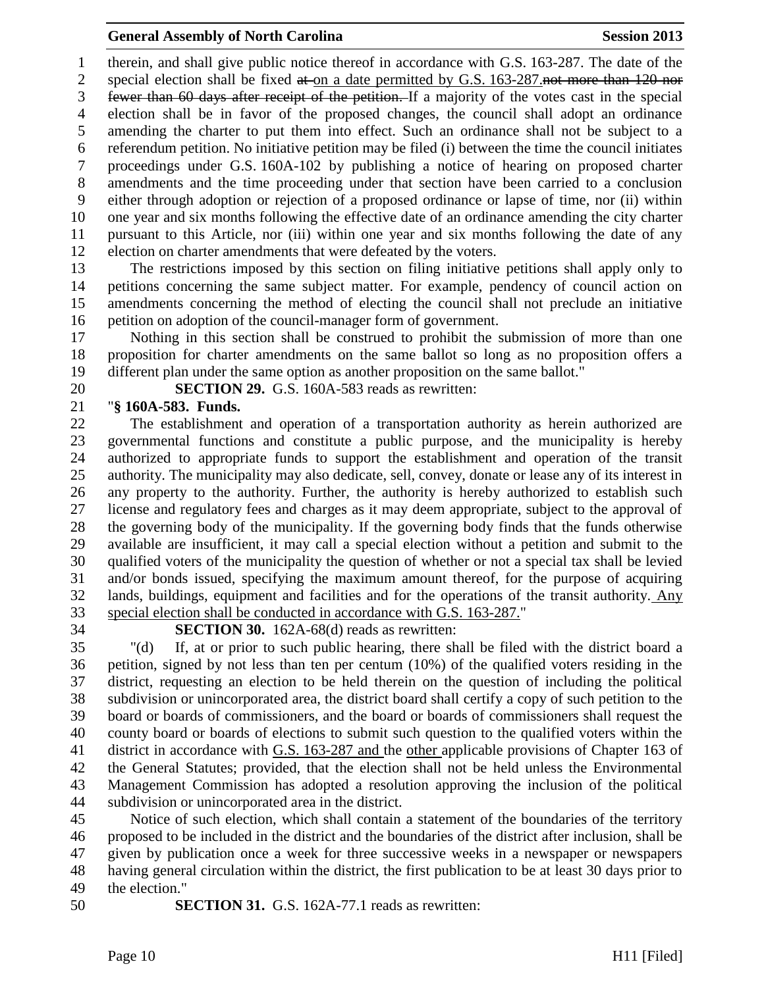therein, and shall give public notice thereof in accordance with G.S. 163-287. The date of the 2 special election shall be fixed at on a date permitted by G.S. 163-287.not more than 120 nor fewer than 60 days after receipt of the petition. If a majority of the votes cast in the special election shall be in favor of the proposed changes, the council shall adopt an ordinance amending the charter to put them into effect. Such an ordinance shall not be subject to a referendum petition. No initiative petition may be filed (i) between the time the council initiates proceedings under G.S. 160A-102 by publishing a notice of hearing on proposed charter amendments and the time proceeding under that section have been carried to a conclusion either through adoption or rejection of a proposed ordinance or lapse of time, nor (ii) within one year and six months following the effective date of an ordinance amending the city charter pursuant to this Article, nor (iii) within one year and six months following the date of any election on charter amendments that were defeated by the voters.

 The restrictions imposed by this section on filing initiative petitions shall apply only to petitions concerning the same subject matter. For example, pendency of council action on amendments concerning the method of electing the council shall not preclude an initiative petition on adoption of the council-manager form of government.

 Nothing in this section shall be construed to prohibit the submission of more than one proposition for charter amendments on the same ballot so long as no proposition offers a different plan under the same option as another proposition on the same ballot."

**SECTION 29.** G.S. 160A-583 reads as rewritten:

# "**§ 160A-583. Funds.**

 The establishment and operation of a transportation authority as herein authorized are governmental functions and constitute a public purpose, and the municipality is hereby authorized to appropriate funds to support the establishment and operation of the transit authority. The municipality may also dedicate, sell, convey, donate or lease any of its interest in any property to the authority. Further, the authority is hereby authorized to establish such license and regulatory fees and charges as it may deem appropriate, subject to the approval of the governing body of the municipality. If the governing body finds that the funds otherwise available are insufficient, it may call a special election without a petition and submit to the qualified voters of the municipality the question of whether or not a special tax shall be levied and/or bonds issued, specifying the maximum amount thereof, for the purpose of acquiring lands, buildings, equipment and facilities and for the operations of the transit authority. Any special election shall be conducted in accordance with G.S. 163-287."

# **SECTION 30.** 162A-68(d) reads as rewritten:

 "(d) If, at or prior to such public hearing, there shall be filed with the district board a petition, signed by not less than ten per centum (10%) of the qualified voters residing in the district, requesting an election to be held therein on the question of including the political subdivision or unincorporated area, the district board shall certify a copy of such petition to the board or boards of commissioners, and the board or boards of commissioners shall request the county board or boards of elections to submit such question to the qualified voters within the district in accordance with G.S. 163-287 and the other applicable provisions of Chapter 163 of the General Statutes; provided, that the election shall not be held unless the Environmental Management Commission has adopted a resolution approving the inclusion of the political subdivision or unincorporated area in the district.

 Notice of such election, which shall contain a statement of the boundaries of the territory proposed to be included in the district and the boundaries of the district after inclusion, shall be given by publication once a week for three successive weeks in a newspaper or newspapers having general circulation within the district, the first publication to be at least 30 days prior to the election."

**SECTION 31.** G.S. 162A-77.1 reads as rewritten: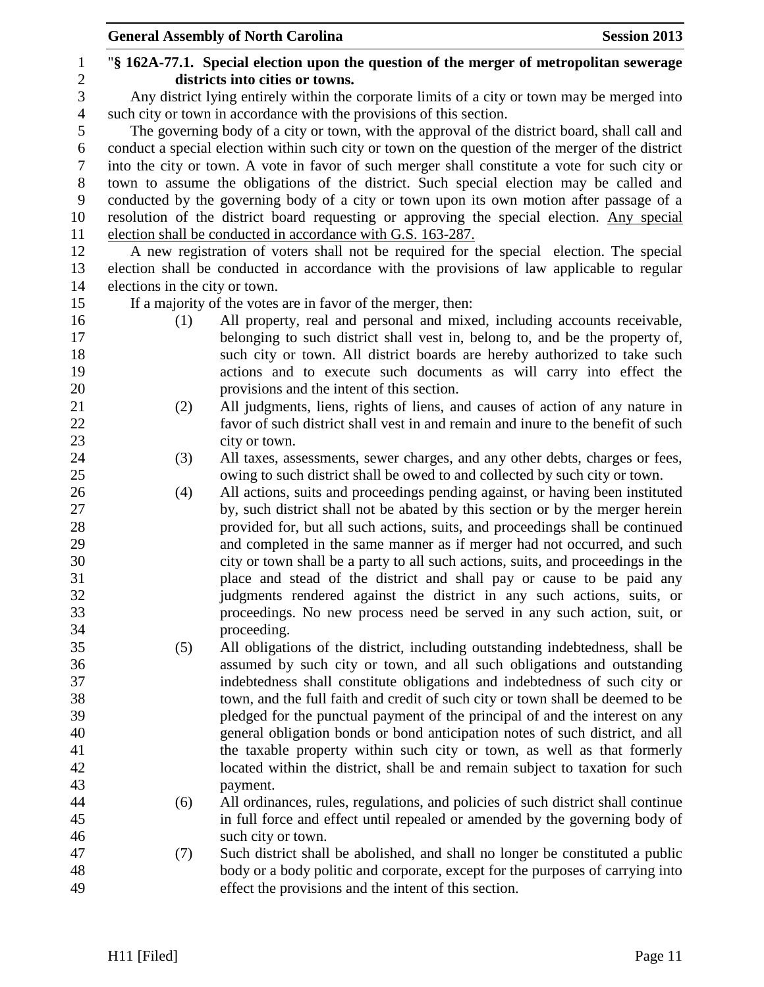|                |                                                                                              | <b>General Assembly of North Carolina</b><br><b>Session 2013</b>                                  |  |  |
|----------------|----------------------------------------------------------------------------------------------|---------------------------------------------------------------------------------------------------|--|--|
| 1              |                                                                                              | "\\$ 162A-77.1. Special election upon the question of the merger of metropolitan sewerage         |  |  |
| $\overline{c}$ |                                                                                              | districts into cities or towns.                                                                   |  |  |
| 3              | Any district lying entirely within the corporate limits of a city or town may be merged into |                                                                                                   |  |  |
| $\overline{4}$ |                                                                                              | such city or town in accordance with the provisions of this section.                              |  |  |
| 5              |                                                                                              | The governing body of a city or town, with the approval of the district board, shall call and     |  |  |
| 6              |                                                                                              | conduct a special election within such city or town on the question of the merger of the district |  |  |
| $\tau$         |                                                                                              | into the city or town. A vote in favor of such merger shall constitute a vote for such city or    |  |  |
| 8              | town to assume the obligations of the district. Such special election may be called and      |                                                                                                   |  |  |
| 9              |                                                                                              | conducted by the governing body of a city or town upon its own motion after passage of a          |  |  |
| 10             | resolution of the district board requesting or approving the special election. Any special   |                                                                                                   |  |  |
| 11             |                                                                                              | election shall be conducted in accordance with G.S. 163-287.                                      |  |  |
| 12             |                                                                                              | A new registration of voters shall not be required for the special election. The special          |  |  |
| 13             |                                                                                              | election shall be conducted in accordance with the provisions of law applicable to regular        |  |  |
| 14             | elections in the city or town.                                                               |                                                                                                   |  |  |
| 15             |                                                                                              | If a majority of the votes are in favor of the merger, then:                                      |  |  |
| 16             | (1)                                                                                          | All property, real and personal and mixed, including accounts receivable,                         |  |  |
| 17             |                                                                                              | belonging to such district shall vest in, belong to, and be the property of,                      |  |  |
| 18             |                                                                                              | such city or town. All district boards are hereby authorized to take such                         |  |  |
| 19             |                                                                                              | actions and to execute such documents as will carry into effect the                               |  |  |
| 20             |                                                                                              | provisions and the intent of this section.                                                        |  |  |
| 21             | (2)                                                                                          | All judgments, liens, rights of liens, and causes of action of any nature in                      |  |  |
| 22             |                                                                                              | favor of such district shall vest in and remain and inure to the benefit of such                  |  |  |
| 23             |                                                                                              | city or town.                                                                                     |  |  |
| 24             | (3)                                                                                          | All taxes, assessments, sewer charges, and any other debts, charges or fees,                      |  |  |
| 25             |                                                                                              | owing to such district shall be owed to and collected by such city or town.                       |  |  |
| 26             | (4)                                                                                          | All actions, suits and proceedings pending against, or having been instituted                     |  |  |
| 27             |                                                                                              | by, such district shall not be abated by this section or by the merger herein                     |  |  |
| 28             |                                                                                              | provided for, but all such actions, suits, and proceedings shall be continued                     |  |  |
| 29             |                                                                                              | and completed in the same manner as if merger had not occurred, and such                          |  |  |
| 30             |                                                                                              | city or town shall be a party to all such actions, suits, and proceedings in the                  |  |  |
| 31             |                                                                                              | place and stead of the district and shall pay or cause to be paid any                             |  |  |
| 32             |                                                                                              | judgments rendered against the district in any such actions, suits, or                            |  |  |
| 33             |                                                                                              | proceedings. No new process need be served in any such action, suit, or                           |  |  |
| 34             |                                                                                              | proceeding.                                                                                       |  |  |
| 35             | (5)                                                                                          | All obligations of the district, including outstanding indebtedness, shall be                     |  |  |
| 36             |                                                                                              | assumed by such city or town, and all such obligations and outstanding                            |  |  |
| 37             |                                                                                              | indebtedness shall constitute obligations and indebtedness of such city or                        |  |  |
| 38             |                                                                                              | town, and the full faith and credit of such city or town shall be deemed to be                    |  |  |
| 39             |                                                                                              | pledged for the punctual payment of the principal of and the interest on any                      |  |  |
| 40             |                                                                                              | general obligation bonds or bond anticipation notes of such district, and all                     |  |  |
| 41             |                                                                                              | the taxable property within such city or town, as well as that formerly                           |  |  |
| 42             |                                                                                              | located within the district, shall be and remain subject to taxation for such                     |  |  |
| 43             |                                                                                              | payment.                                                                                          |  |  |
| 44             | (6)                                                                                          | All ordinances, rules, regulations, and policies of such district shall continue                  |  |  |
| 45             |                                                                                              | in full force and effect until repealed or amended by the governing body of                       |  |  |
| 46             |                                                                                              | such city or town.                                                                                |  |  |
| 47             | (7)                                                                                          | Such district shall be abolished, and shall no longer be constituted a public                     |  |  |
| 48             |                                                                                              | body or a body politic and corporate, except for the purposes of carrying into                    |  |  |
| 49             |                                                                                              | effect the provisions and the intent of this section.                                             |  |  |